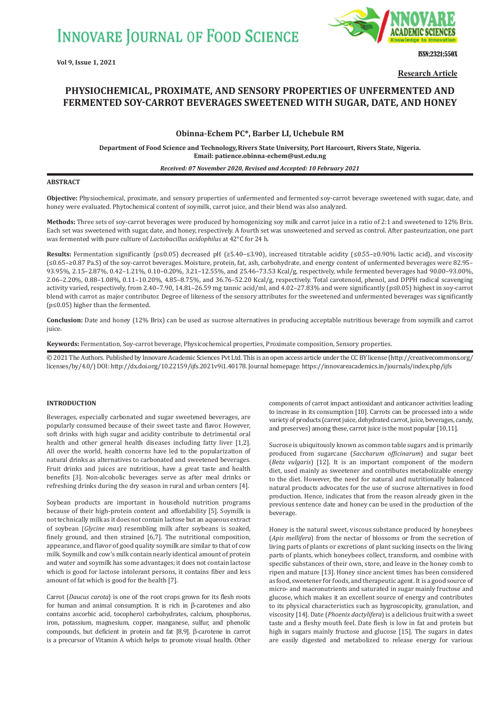

ISSN;2321;550X

**Research Article**

# **PHYSIOCHEMICAL, PROXIMATE, AND SENSORY PROPERTIES OF UNFERMENTED AND FERMENTED SOY-CARROT BEVERAGES SWEETENED WITH SUGAR, DATE, AND HONEY**

# **Obinna-Echem PC\*, Barber LI, Uchebule RM**

**Department of Food Science and Technology,Rivers State University, Port Harcourt, Rivers State, Nigeria. Email: patience.obinna-echem@ust.edu.ng**

#### *Received: 07 November 2020, Revised and Accepted: 10 February 2021*

### **ABSTRACT**

**Objective:** Physiochemical, proximate, and sensory properties of unfermented and fermented soy-carrot beverage sweetened with sugar, date, and honey were evaluated. Phytochemical content of soymilk, carrot juice, and their blend was also analyzed.

**Methods:** Three sets of soy-carrot beverages were produced by homogenizing soy milk and carrot juice in a ratio of 2:1 and sweetened to 12% Brix. Each set was sweetened with sugar, date, and honey, respectively. A fourth set was unsweetened and served as control. After pasteurization, one part was fermented with pure culture of *Lactobacillus acidophilus* at 42°C for 24 h.

**Results:** Fermentation significantly (p≤0.05) decreased pH (≥5.40–≤3.90), increased titratable acidity (≤0.55–≥0.90% lactic acid), and viscosity (≤0.65–≥0.87 Pa.S) of the soy-carrot beverages. Moisture, protein, fat, ash, carbohydrate, and energy content of unfermented beverages were 82.95– 93.95%, 2.15–2.87%, 0.42–1.21%, 0.10–0.20%, 3.21–12.55%, and 25.46–73.53 Kcal/g, respectively, while fermented beverages had 90.00–93.00%, 2.06–2.20%, 0.88–1.08%, 0.11–10.20%, 4.85–8.75%, and 36.76–52.20 Kcal/g, respectively. Total carotenoid, phenol, and DPPH radical scavenging activity varied, respectively, from 2.40–7.90, 14.81–26.59 mg tannic acid/ml, and 4.02–27.83% and were significantly (p≤0.05) highest in soy-carrot blend with carrot as major contributor. Degree of likeness of the sensory attributes for the sweetened and unfermented beverages was significantly (p≤0.05) higher than the fermented.

**Conclusion:** Date and honey (12% Brix) can be used as sucrose alternatives in producing acceptable nutritious beverage from soymilk and carrot juice.

**Keywords:** Fermentation, Soy-carrot beverage, Physicochemical properties, Proximate composition, Sensory properties.

© 2021 The Authors. Published by Innovare Academic Sciences Pvt Ltd. This is an open access article under the CC BY license (http://creativecommons.org/ licenses/by/4.0/) DOI: http://dx.doi.org/10.22159/ijfs.2021v9i1.40178. Journal homepage: https://innovareacademics.in/journals/index.php/ijfs

### **INTRODUCTION**

Beverages, especially carbonated and sugar sweetened beverages, are popularly consumed because of their sweet taste and flavor. However, soft drinks with high sugar and acidity contribute to detrimental oral health and other general health diseases including fatty liver [1,2]. All over the world, health concerns have led to the popularization of natural drinks as alternatives to carbonated and sweetened beverages. Fruit drinks and juices are nutritious, have a great taste and health benefits [3]. Non-alcoholic beverages serve as after meal drinks or refreshing drinks during the dry season in rural and urban centers [4].

Soybean products are important in household nutrition programs because of their high-protein content and affordability [5]. Soymilk is not technically milk as it does not contain lactose but an aqueous extract of soybean (*Glycine max*) resembling milk after soybeans is soaked, finely ground, and then strained [6,7]. The nutritional composition, appearance, and flavor of good quality soymilk are similar to that of cow milk. Soymilk and cow's milk contain nearly identical amount of protein and water and soymilk has some advantages; it does not contain lactose which is good for lactose intolerant persons, it contains fiber and less amount of fat which is good for the health [7].

Carrot (*Daucus carota*) is one of the root crops grown for its flesh roots for human and animal consumption. It is rich in β-carotenes and also contains ascorbic acid, tocopherol carbohydrates, calcium, phosphorus, iron, potassium, magnesium, copper, manganese, sulfur, and phenolic compounds, but deficient in protein and fat [8,9]. β-carotene in carrot is a precursor of Vitamin A which helps to promote visual health. Other components of carrot impact antioxidant and anticancer activities leading to increase in its consumption [10]. Carrots can be processed into a wide variety of products (carrot juice, dehydrated carrot, juice, beverages, candy, and preserves) among these, carrot juice is the most popular [10,11].

Sucrose is ubiquitously known as common table sugars and is primarily produced from sugarcane (*Saccharum officinarum*) and sugar beet (*Beta vulgaris*) [12]. It is an important component of the modern diet, used mainly as sweetener and contributes metabolizable energy to the diet. However, the need for natural and nutritionally balanced natural products advocates for the use of sucrose alternatives in food production. Hence, indicates that from the reason already given in the previous sentence date and honey can be used in the production of the beverage.

Honey is the natural sweet, viscous substance produced by honeybees (*Apis mellifera*) from the nectar of blossoms or from the secretion of living parts of plants or excretions of plant sucking insects on the living parts of plants, which honeybees collect, transform, and combine with specific substances of their own, store, and leave in the honey comb to ripen and mature [13]. Honey since ancient times has been considered as food, sweetener for foods, and therapeutic agent. It is a good source of micro- and macronutrients and saturated in sugar mainly fructose and glucose, which makes it an excellent source of energy and contributes to its physical characteristics such as hygroscopicity, granulation, and viscosity [14]. Date (*Phoenix dactylifera*) is a delicious fruit with a sweet taste and a fleshy mouth feel. Date flesh is low in fat and protein but high in sugars mainly fructose and glucose [15]. The sugars in dates are easily digested and metabolized to release energy for various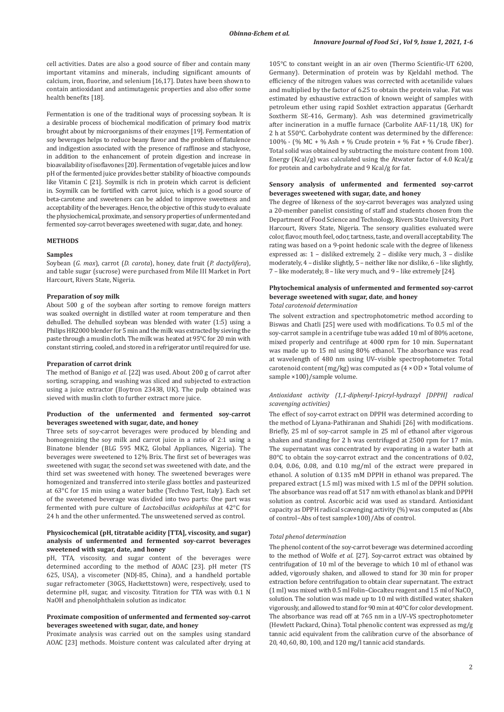cell activities. Dates are also a good source of fiber and contain many important vitamins and minerals, including significant amounts of calcium, iron, fluorine, and selenium [16,17]. Dates have been shown to contain antioxidant and antimutagenic properties and also offer some health benefits [18].

Fermentation is one of the traditional ways of processing soybean. It is a desirable process of biochemical modification of primary food matrix brought about by microorganisms of their enzymes [19]. Fermentation of soy beverages helps to reduce beany flavor and the problem of flatulence and indigestion associated with the presence of raffinose and stachyose, in addition to the enhancement of protein digestion and increase in bioavailability of isoflavones [20]. Fermentation of vegetable juices and low pH of the fermented juice provides better stability of bioactive compounds like Vitamin C [21]. Soymilk is rich in protein which carrot is deficient in. Soymilk can be fortified with carrot juice, which is a good source of beta-carotene and sweeteners can be added to improve sweetness and acceptability of the beverages. Hence, the objective of this study to evaluate the physiochemical, proximate, and sensory properties of unfermented and fermented soy-carrot beverages sweetened with sugar, date, and honey.

### **METHODS**

# **Samples**

Soybean (*G. max*), carrot (*D. carota*), honey, date fruit (*P. dactylifera*), and table sugar (sucrose) were purchased from Mile III Market in Port Harcourt, Rivers State, Nigeria.

# **Preparation of soy milk**

About 500 g of the soybean after sorting to remove foreign matters was soaked overnight in distilled water at room temperature and then dehulled. The dehulled soybean was blended with water (1:5) using a Philips HR2000 blender for 5 min and the milk was extracted by sieving the paste through a muslin cloth. The milk was heated at 95°C for 20 min with constant stirring, cooled, and stored in a refrigerator until required for use.

### **Preparation of carrot drink**

The method of Banigo *et al*. [22] was used. About 200 g of carrot after sorting, scrapping, and washing was sliced and subjected to extraction using a juice extractor (IIoytron 23438, UK). The pulp obtained was sieved with muslin cloth to further extract more juice.

### **Production of the unfermented and fermented soy-carrot beverages sweetened with sugar, date, and honey**

Three sets of soy-carrot beverages were produced by blending and homogenizing the soy milk and carrot juice in a ratio of 2:1 using a Binatone blender (BLG 595 MK2, Global Appliances, Nigeria). The beverages were sweetened to 12% Brix. The first set of beverages was sweetened with sugar, the second set was sweetened with date, and the third set was sweetened with honey. The sweetened beverages were homogenized and transferred into sterile glass bottles and pasteurized at 63°C for 15 min using a water bathe (Techno Test, Italy). Each set of the sweetened beverage was divided into two parts: One part was fermented with pure culture of *Lactobacillus acidophilus* at 42°C for 24 h and the other unfermented. The unsweetened served as control.

# **Physicochemical (pH, titratable acidity [TTA], viscosity, and sugar) analysis of unfermented and fermented soy-carrot beverages sweetened with sugar, date, and honey**

pH, TTA, viscosity, and sugar content of the beverages were determined according to the method of AOAC [23]. pH meter (TS 625, USA), a viscometer (NDJ-85, China), and a handheld portable sugar refractometer (30GS, Hackettstown) were, respectively, used to determine pH, sugar, and viscosity. Titration for TTA was with 0.1 N NaOH and phenolphthalein solution as indicator.

### **Proximate composition of unfermented and fermented soy-carrot beverages sweetened with sugar, date, and honey**

Proximate analysis was carried out on the samples using standard AOAC [23] methods. Moisture content was calculated after drying at 105°C to constant weight in an air oven (Thermo Scientific-UT 6200, Germany). Determination of protein was by Kjeldahl method. The efficiency of the nitrogen values was corrected with acetanilide values and multiplied by the factor of 6.25 to obtain the protein value. Fat was estimated by exhaustive extraction of known weight of samples with petroleum ether using rapid Soxhlet extraction apparatus (Gerhardt Soxtherm SE-416, Germany). Ash was determined gravimetrically after incineration in a muffle furnace (Carbolite AAF-11/18, UK) for 2 h at 550°C. Carbohydrate content was determined by the difference: 100% - (% MC + % Ash + % Crude protein + % Fat + % Crude fiber). Total solid was obtained by subtracting the moisture content from 100. Energy (Kcal/g) was calculated using the Atwater factor of 4.0 Kcal/g for protein and carbohydrate and 9 Kcal/g for fat.

# **Sensory analysis of unfermented and fermented soy-carrot beverages sweetened with sugar, date, and honey**

The degree of likeness of the soy-carrot beverages was analyzed using a 20-member panelist consisting of staff and students chosen from the Department of Food Science and Technology, Rivers State University, Port Harcourt, Rivers State, Nigeria. The sensory qualities evaluated were color, flavor, mouth feel, odor, tartness, taste, and overall acceptability. The rating was based on a 9-point hedonic scale with the degree of likeness expressed as: 1 – disliked extremely, 2 – dislike very much, 3 – dislike moderately, 4 – dislike slightly, 5 – neither like nor dislike, 6 – like slightly, 7 – like moderately, 8 – like very much, and 9 – like extremely [24].

# **Phytochemical analysis of unfermented and fermented soy-carrot beverage sweetened with sugar, date***,* **and honey**

# *Total carotenoid determination*

The solvent extraction and spectrophotometric method according to Biswas and Chatli [25] were used with modifications. To 0.5 ml of the soy-carrot sample in a centrifuge tube was added 10 ml of 80% acetone, mixed properly and centrifuge at 4000 rpm for 10 min. Supernatant was made up to 15 ml using 80% ethanol. The absorbance was read at wavelength of 480 nm using UV–visible spectrophotometer. Total carotenoid content (mg/kg) was computed as (4 × OD × Total volume of sample ×100)/sample volume.

# *Antioxidant activity (1,1-diphenyl-1picryl-hydrazyl [DPPH] radical scavenging activities)*

The effect of soy-carrot extract on DPPH was determined according to the method of Liyana-Pathiranan and Shahidi [26] with modifications. Briefly, 25 ml of soy-carrot sample in 25 ml of ethanol after vigorous shaken and standing for 2 h was centrifuged at 2500 rpm for 17 min. The supernatant was concentrated by evaporating in a water bath at 80°C to obtain the soy-carrot extract and the concentrations of 0.02, 0.04, 0.06, 0.08, and 0.10 mg/ml of the extract were prepared in ethanol. A solution of 0.135 mM DPPH in ethanol was prepared. The prepared extract (1.5 ml) was mixed with 1.5 ml of the DPPH solution. The absorbance was read off at 517 nm with ethanol as blank and DPPH solution as control. Ascorbic acid was used as standard. Antioxidant capacity as DPPH radical scavenging activity (%) was computed as (Abs of control−Abs of test sample×100)/Abs of control.

#### *Total phenol determination*

The phenol content of the soy-carrot beverage was determined according to the method of Wolfe *et al*. [27]. Soy-carrot extract was obtained by centrifugation of 10 ml of the beverage to which 10 ml of ethanol was added, vigorously shaken, and allowed to stand for 30 min for proper extraction before centrifugation to obtain clear supernatant. The extract  $(1 \text{ ml})$  was mixed with 0.5 ml Folin–Ciocalteu reagent and 1.5 ml of NaCO<sub>3</sub>. solution. The solution was made up to 10 ml with distilled water, shaken vigorously, and allowed to stand for 90 min at 40°C for color development. The absorbance was read off at 765 nm in a UV–VS spectrophotometer (Hewlett Packard, China). Total phenolic content was expressed as mg/g tannic acid equivalent from the calibration curve of the absorbance of 20, 40, 60, 80, 100, and 120 mg/l tannic acid standards.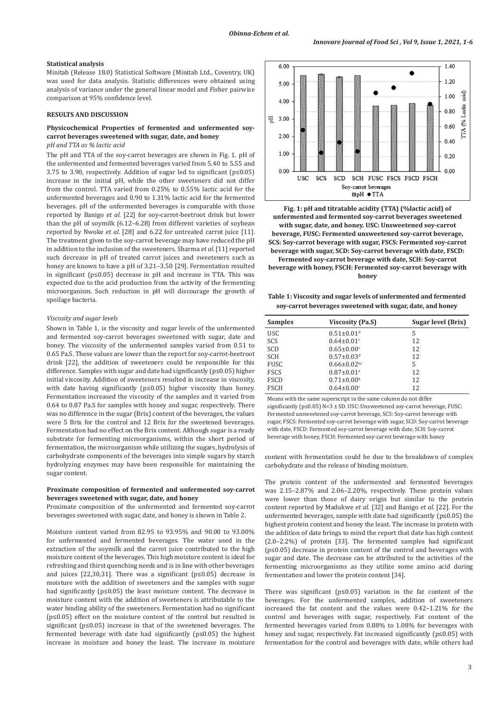### **Statistical analysis**

Minitab (Release 18.0) Statistical Software (Minitab Ltd., Coventry, UK) was used for data analysis. Statistic differences were obtained using analysis of variance under the general linear model and Fisher pairwise comparison at 95% confidence level.

#### **RESULTS AND DISCUSSION**

### **Physicochemical Properties of fermented and unfermented soycarrot beverages sweetened with sugar, date, and honey** *pH and TTA as % lactic acid*

The pH and TTA of the soy-carrot beverages are shown in Fig. 1. pH of the unfermented and fermented beverages varied from 5.40 to 5.55 and 3.75 to 3.90, respectively. Addition of sugar led to significant (p≤0.05) increase in the initial pH, while the other sweeteners did not differ from the control. TTA varied from 0.25% to 0.55% lactic acid for the unfermented beverages and 0.90 to 1.31% lactic acid for the fermented beverages. pH of the unfermented beverages is comparable with those reported by Banigo *et al.* [22] for soy-carrot-beetroot drink but lower than the pH of soymilk (6.12–6.28) from different varieties of soybean reported by Nwoke *et al*. [28] and 6.22 for untreated carrot juice [11]. The treatment given to the soy-carrot beverage may have reduced the pH in addition to the inclusion of the sweeteners. Sharma *et al*. [11] reported such decrease in pH of treated carrot juices and sweeteners such as honey are known to have a pH of 3.21–3.50 [29]. Fermentation resulted in significant (p≤0.05) decrease in pH and increase in TTA. This was expected due to the acid production from the activity of the fermenting microorganism. Such reduction in pH will discourage the growth of spoilage bacteria.

### *Viscosity and sugar levels*

Shown in Table 1, is the viscosity and sugar levels of the unfermented and fermented soy-carrot beverages sweetened with sugar, date and honey. The viscosity of the unfermented samples varied from 0.51 to 0.65 Pa.S. These values are lower than the report for soy-carrot-beetroot drink [22], the addition of sweeteners could be responsible for this difference. Samples with sugar and date had significantly (p≤0.05) higher initial viscosity. Addition of sweeteners resulted in increase in viscosity, with date having significantly (p≤0.05) higher viscosity than honey. Fermentation increased the viscosity of the samples and it varied from 0.64 to 0.87 Pa.S for samples with honey and sugar, respectively. There was no difference in the sugar (Brix) content of the beverages, the values were 5 Brix for the control and 12 Brix for the sweetened beverages. Fermentation had no effect on the Brix content. Although sugar is a ready substrate for fermenting microorganisms, within the short period of fermentation, the microorganism while utilizing the sugars, hydrolysis of carbohydrate components of the beverages into simple sugars by starch hydrolyzing enzymes may have been responsible for maintaining the sugar content.

### **Proximate composition of fermented and unfermented soy-carrot beverages sweetened with sugar, date, and honey**

Proximate composition of the unfermented and fermented soy-carrot beverages sweetened with sugar, date, and honey is shown in Table 2.

Moisture content varied from 82.95 to 93.95% and 90.00 to 93.00% for unfermented and fermented beverages. The water used in the extraction of the soymilk and the carrot juice contributed to the high moisture content of the beverages. This high moisture content is ideal for refreshing and thirst quenching needs and is in line with other beverages and juices [22,30,31]. There was a significant (p≤0.05) decrease in moisture with the addition of sweeteners and the samples with sugar had significantly (p≤0.05) the least moisture content. The decrease in moisture content with the addition of sweeteners is attributable to the water binding ability of the sweeteners. Fermentation had no significant (p≤0.05) effect on the moisture content of the control but resulted in significant (p≤0.05) increase in that of the sweetened beverages. The fermented beverage with date had significantly (p≤0.05) the highest increase in moisture and honey the least. The increase in moisture



**Fig. 1: pH and titratable acidity (TTA) (%lactic acid) of unfermented and fermented soy-carrot beverages sweetened with sugar, date, and honey. USC: Unsweetened soy-carrot beverage, FUSC: Fermented unsweetened soy-carrot beverage, SCS: Soy-carrot beverage with sugar, FSCS: Fermented soy-carrot beverage with sugar, SCD: Soy-carrot beverage with date, FSCD:** 

**Fermented soy-carrot beverage with date, SCH: Soy-carrot beverage with honey, FSCH: Fermented soy-carrot beverage with honey**

**Table 1: Viscosity and sugar levels of unfermented and fermented soy‑carrot beverages sweetened with sugar, date, and honey**

| <b>Samples</b> | Viscosity (Pa.S)              | Sugar level (Brix) |
|----------------|-------------------------------|--------------------|
| <b>USC</b>     | $0.51 \pm 0.01$ <sup>d</sup>  | 5                  |
| SCS            | $0.64 \pm 0.01$ <sup>c</sup>  | 12                 |
| SCD            | $0.65 \pm 0.00$ <sup>c</sup>  | 12                 |
| <b>SCH</b>     | $0.57 \pm 0.03$ <sup>d</sup>  | 12                 |
| <b>FUSC</b>    | $0.66 \pm 0.02$ <sub>bc</sub> | 5                  |
| <b>FSCS</b>    | $0.87 \pm 0.01$ <sup>a</sup>  | 12                 |
| <b>FSCD</b>    | $0.71 \pm 0.00$ <sup>b</sup>  | 12                 |
| <b>FSCH</b>    | $0.64 \pm 0.00$ <sup>c</sup>  | 12                 |

Means with the same superscript in the same column do not differ significantly ( $p \le 0.05$ ) N=3 ± SD. USC: Unsweetened soy-carrot beverage, FUSC: Fermented unsweetened soy‑carrot beverage, SCS: Soy‑carrot beverage with sugar, FSCS: Fermented soy-carrot beverage with sugar, SCD: Soy-carrot beverage with date, FSCD: Fermented soy-carrot beverage with date, SCH: Soy-carrot beverage with honey, FSCH: Fermented soy‑carrot beverage with honey

content with fermentation could be due to the breakdown of complex carbohydrate and the release of binding moisture.

The protein content of the unfermented and fermented beverages was 2.15–2.87% and 2.06–2.20%, respectively. These protein values were lower than those of dairy origin but similar to the protein content reported by Madukwe *et al*. [32] and Banigo *et al.* [22]. For the unfermented beverages, sample with date had significantly ( $p \le 0.05$ ) the highest protein content and honey the least. The increase in protein with the addition of date brings to mind the report that date has high content (2.0–2.2%) of protein [33]. The fermented samples had significant (p≤0.05) decrease in protein content of the control and beverages with sugar and date. The decrease can be attributed to the activities of the fermenting microorganisms as they utilize some amino acid during fermentation and lower the protein content [34].

There was significant (p≤0.05) variation in the fat content of the beverages. For the unfermented samples, addition of sweeteners increased the fat content and the values were 0.42–1.21% for the control and beverages with sugar, respectively. Fat content of the fermented beverages varied from 0.88% to 1.08% for beverages with honey and sugar, respectively. Fat increased significantly (p≤0.05) with fermentation for the control and beverages with date, while others had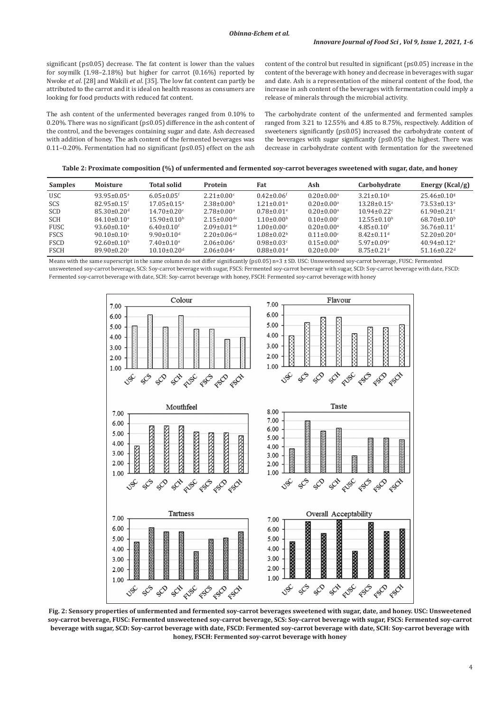significant (p≤0.05) decrease. The fat content is lower than the values for soymilk (1.98–2.18%) but higher for carrot (0.16%) reported by Nwoke *et al*. [28] and Wakili *et al*. [35]. The low fat content can partly be attributed to the carrot and it is ideal on health reasons as consumers are looking for food products with reduced fat content.

The ash content of the unfermented beverages ranged from 0.10% to 0.20%. There was no significant (p≤0.05) difference in the ash content of the control, and the beverages containing sugar and date. Ash decreased with addition of honey. The ash content of the fermented beverages was 0.11–0.20%. Fermentation had no significant (p≤0.05) effect on the ash

content of the control but resulted in significant ( $p \le 0.05$ ) increase in the content of the beverage with honey and decrease in beverages with sugar and date. Ash is a representation of the mineral content of the food, the increase in ash content of the beverages with fermentation could imply a release of minerals through the microbial activity.

The carbohydrate content of the unfermented and fermented samples ranged from 3.21 to 12.55% and 4.85 to 8.75%, respectively. Addition of sweeteners significantly (p≤0.05) increased the carbohydrate content of the beverages with sugar significantly (p≤0.05) the highest. There was decrease in carbohydrate content with fermentation for the sweetened

**Table 2: Proximate composition (%) of unfermented and fermented soy‑carrot beverages sweetened with sugar, date, and honey**

| <b>Samples</b> | Moisture                      | <b>Total solid</b>           | <b>Protein</b>                | Fat                          | Ash                          | Carbohydrate                  | Energy $(Kcal/g)$             |
|----------------|-------------------------------|------------------------------|-------------------------------|------------------------------|------------------------------|-------------------------------|-------------------------------|
| <b>USC</b>     | $93.95 \pm 0.05^{\circ}$      | $6.05 \pm 0.05$ <sup>f</sup> | $2.21 \pm 0.00$ <sup>c</sup>  | $0.42 \pm 0.06$ <sup>f</sup> | $0.20 \pm 0.00$ <sup>a</sup> | $3.21 \pm 0.10$ <sup>g</sup>  | $25.46 \pm 0.10$ <sup>g</sup> |
| SCS            | $82.95 + 0.15$ <sup>f</sup>   | $17.05 + 0.15$ <sup>a</sup>  | $2.38 + 0.00b$                | $1.21 + 0.01a$               | $0.20 + 0.00^a$              | $13.28 \pm 0.15^{\circ}$      | $73.53 + 0.13a$               |
| SCD            | $85.30 \pm 0.20$ <sup>d</sup> | $14.70 \pm 0.20$ °           | $2.78 \pm 0.00$ <sup>a</sup>  | $0.78 \pm 0.01$ <sup>e</sup> | $0.20 \pm 0.00$ <sup>a</sup> | $10.94 \pm 0.22$ <sup>c</sup> | $61.90 \pm 0.21$ °            |
| <b>SCH</b>     | $84.10 + 0.10$ <sup>e</sup>   | $15.90\pm0.10b$              | $2.15+0.00^{de}$              | $1.10 + 0.00b$               | $0.10 + 0.00$                | $12.55 \pm 0.10^{\circ}$      | $68.70 \pm 0.10^b$            |
| <b>FUSC</b>    | $93.60 \pm 0.10^a$            | $6.40 + 0.10$ <sup>f</sup>   | $2.09 + 0.01$ <sup>de</sup>   | $1.00 + 0.00$ <sup>c</sup>   | $0.20 + 0.00^a$              | $4.85 + 0.10$ <sup>f</sup>    | $36.76 + 0.11$ <sup>f</sup>   |
| <b>FSCS</b>    | $90.10 \pm 0.10$ <sup>c</sup> | $9.90 \pm 0.10$ <sup>d</sup> | $2.20 \pm 0.06$ <sup>cd</sup> | $1.08 \pm 0.02$ <sup>b</sup> | $0.11 \pm 0.00$ <sup>c</sup> | $8.42 \pm 0.11$ <sup>d</sup>  | $52.20 \pm 0.20$ <sup>d</sup> |
| <b>FSCD</b>    | $92.60 \pm 0.10^b$            | $7.40 \pm 0.10$ <sup>e</sup> | $2.06 \pm 0.06$ <sup>e</sup>  | $0.98 \pm 0.03$ <sup>c</sup> | $0.15 \pm 0.00$ <sup>b</sup> | $5.97 \pm 0.09$ <sup>e</sup>  | $40.94 + 0.12$ <sup>e</sup>   |
| <b>FSCH</b>    | $89.90 \pm 0.20$ °            | $10.10\pm0.20d$              | $2.06 \pm 0.04$ <sup>e</sup>  | $0.88 \pm 0.01$ <sup>d</sup> | $0.20 \pm 0.00$ <sup>a</sup> | $8.75 \pm 0.21$ <sup>d</sup>  | $51.16 \pm 0.22$ <sup>d</sup> |

Means with the same superscript in the same column do not differ significantly (p≤0.05) n=3 ± SD. USC: Unsweetened soy-carrot beverage, FUSC: Fermented unsweetened soy‑carrot beverage, SCS: Soy‑carrot beverage with sugar, FSCS: Fermented soy‑carrot beverage with sugar, SCD: Soy‑carrot beverage with date, FSCD: Fermented soy‑carrot beverage with date, SCH: Soy‑carrot beverage with honey, FSCH: Fermented soy‑carrot beverage with honey



**Fig. 2: Sensory properties of unfermented and fermented soy-carrot beverages sweetened with sugar, date, and honey. USC: Unsweetened soy-carrot beverage, FUSC: Fermented unsweetened soy-carrot beverage, SCS: Soy-carrot beverage with sugar, FSCS: Fermented soy-carrot beverage with sugar, SCD: Soy-carrot beverage with date, FSCD: Fermented soy-carrot beverage with date, SCH: Soy-carrot beverage with honey, FSCH: Fermented soy-carrot beverage with honey**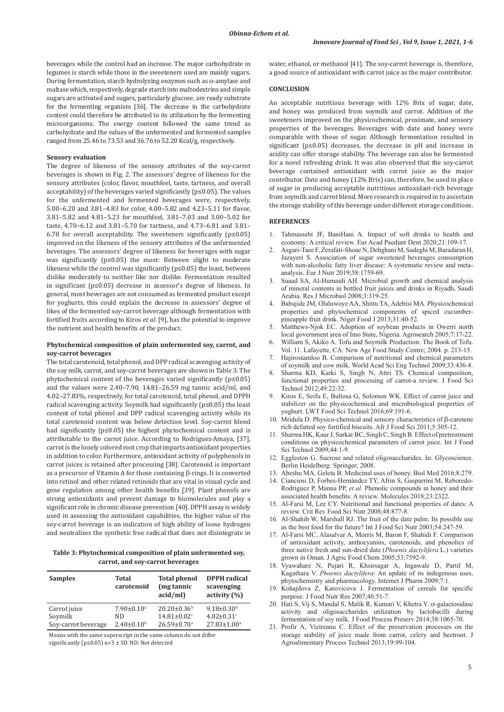beverages while the control had an increase. The major carbohydrate in legumes is starch while those in the sweeteners used are mainly sugars. During fermentation, starch hydrolyzing enzymes such as α-amylase and maltase which, respectively, degrade starch into maltodextrins and simple sugars are activated and sugars, particularly glucose, are ready substrate for the fermenting organism [36]. The decrease in the carbohydrate content could therefore be attributed to its utilization by the fermenting microorganisms. The energy content followed the same trend as carbohydrate and the values of the unfermented and fermented samples ranged from 25.46 to 73.53 and 36.76 to 52.20 Kcal/g, respectively.

#### **Sensory evaluation**

The degree of likeness of the sensory attributes of the soy-carrot beverages is shown in Fig. 2. The assessors' degree of likeness for the sensory attributes (color, flavor, mouthfeel, taste, tartness, and overall acceptability) of the beverages varied significantly (p≤0.05). The values for the unfermented and fermented beverages were, respectively, 5.00–6.20 and 3.81–4.83 for color, 4.00–5.82 and 4.23–5.11 for flavor, 3.81–5.82 and 4.81–5.23 for mouthfeel, 3.81–7.03 and 3.00–5.02 for taste, 4.70–6.12 and 3.81–5.70 for tartness, and 4.73–6.81 and 3.81– 6.70 for overall acceptability. The sweeteners significantly ( $p \le 0.05$ ) improved on the likeness of the sensory attributes of the unfermented beverages. The assessors' degree of likeness for beverages with sugar was significantly (p≤0.05) the most: Between slight to moderate likeness while the control was significantly (p≤0.05) the least, between dislike moderately to neither like nor dislike. Fermentation resulted in significant (p≤0.05) decrease in assessor's degree of likeness. In general, most beverages are not consumed as fermented product except for yoghurts, this could explain the decrease in assessors' degree of likes of the fermented soy-carrot beverage although fermentation with fortified fruits according to Kiros *et al*. [9], has the potential to improve the nutrient and health benefits of the product.

### **Phytochemical composition of plain unfermented soy, carrot, and soy-carrot beverages**

The total carotenoid, total phenol, and DPP radical scavenging activity of the soy milk, carrot, and soy-carrot beverages are shown in Table 3. The phytochemical content of the beverages varied significantly (p≤0.05) and the values were 2.40–7.90, 14.81–26.59 mg tannic acid/ml, and 4.02–27.83%, respectively, for total carotenoid, total phenol, and DPPH radical scavenging activity. Soymilk had significantly (p≤0.05) the least content of total phenol and DPP radical scavenging activity while its total carotenoid content was below detection level. Soy-carrot blend had significantly (p≤0.05) the highest phytochemical content and is attributable to the carrot juice. According to Rodriguez-Amaya, [37], carrot is the lonely colored root crop that imparts antioxidant properties in addition to color. Furthermore, antioxidant activity of polyphenols in carrot juices is retained after processing [38]. Carotenoid is important as a precursor of Vitamin A for those containing β-rings. It is converted into retinol and other related retinoids that are vital in visual cycle and gene regulation among other health benefits [39]. Plant phenols are strong antioxidants and prevent damage to biomolecules and play a significant role in chronic disease prevention [40]. DPPH assay is widely used in assessing the antioxidant capabilities, the higher value of the soy-carrot beverage is an indication of high ability of loose hydrogen and neutralizes the synthetic free radical that does not disintegrate in

**Table 3: Phytochemical composition of plain unfermented soy, carrot, and soy‑carrot beverages**

| <b>Samples</b>      | Total<br>carotenoid | <b>Total phenol</b><br>(mg tannic<br>acid/ml | <b>DPPH</b> radical<br>scavenging<br>activity $(%)$ |
|---------------------|---------------------|----------------------------------------------|-----------------------------------------------------|
| Carrot juice        | $7.90 \pm 0.10^a$   | $20.20 \pm 0.36^b$                           | $9.18 \pm 0.30^{\rm b}$                             |
| Soymilk             | ND                  | $14.81 \pm 0.02$ <sup>c</sup>                | $4.02 \pm 0.31$ <sup>c</sup>                        |
| Sov-carrot beverage | $2.40 \pm 0.10^b$   | $26.59 \pm 0.70$ <sup>a</sup>                | $27.83 \pm 1.00$ <sup>a</sup>                       |

Means with the same superscript in the same column do not differ significantly (p≤0.05) n=3 ± SD. ND: Not detected

water, ethanol, or methanol [41]. The soy-carrot beverage is, therefore, a good source of antioxidant with carrot juice as the major contributor.

# **CONCLUSION**

An acceptable nutritious beverage with 12% Brix of sugar, date, and honey was produced from soymilk and carrot. Addition of the sweeteners improved on the physicochemical, proximate, and sensory properties of the beverages. Beverages with date and honey were comparable with those of sugar. Although fermentation resulted in significant (p≤0.05) decreases, the decrease in pH and increase in acidity can offer storage stability. The beverage can also be fermented for a novel refreshing drink. It was also observed that the soy-carrot beverage contained antioxidant with carrot juice as the major contributor. Date and honey (12% Brix) can, therefore, be used in place of sugar in producing acceptable nutritious antioxidant-rich beverage from soymilk and carrot blend. More research is required in to ascertain the storage stability of this beverage under different storage conditions.

# **REFERENCES**

- 1. Tahmassebi JF, BaniHani A. Impact of soft drinks to health and economy: A critical review. Eur Acad Paediatr Dent 2020;21:109-17.
- 2. Asgari-Taee F, Zerafati-Shoae N, Dehghani M, Sadeghi M, Baradaran H, Jazayeri S. Association of sugar sweetened beverages consumption with non-alcoholic fatty liver disease: A systematic review and metaanalysis. Eur J Nutr 2019;58:1759-69.
- Suaad SA, Al-Humaidi AH. Microbial growth and chemical analysis of mineral contents in bottled fruit juices and drinks in Riyadh, Saudi Arabia. Res J Microbiol 2008;3:319-25.
- 4. Babajide JM, Olaluwoye AA, Shittu TA, Adebisi MA. Physicochemical properties and phytochemical components of spiced cucumberpineapple fruit drink. Niger Food J 2013;31:40-52.
- Matthews-Njok EC. Adoption of soybean products in Owerri north local government area of Imo State, Nigeria. Agrosearch 2005;7:17-22.
- 6. William S, Akiko A. Tofu and Soymilk Production: The Book of Tofu. Vol. 11. Lafayette, CA: New Age Food Study Centre; 2004. p. 213-15.
- Hajirostamloo B. Comparison of nutritional and chemical parameters of soymilk and cow milk. World Acad Sci Eng Technol 2009;33:436-8.
- 8. Sharma KD, Karki S, Singh N, Attri TS. Chemical composition, functional properties and processing of carrot-a review. J Food Sci Technol 2012;49:22-32.
- 9. Kiros E, Seifu E, Bultosa G, Solomon WK. Effect of carrot juice and stabilizer on the physicochemical and microbiological properties of yoghurt. LWT Food Sci Technol 2016;69:191-6.
- 10. Mridula D. Physico-chemical and sensory characteristics of β-carotene rich defatted soy fortified biscuits. Afr J Food Sci 2011;5:305-12.
- 11. Sharma HK, Kaur J, Sarkar BC, Singh C, Singh B. Effect of pretreatment conditions on physicochemical parameters of carrot juice. Int J Food Sci Technol 2009;44:1-9.
- 12. Eggleston G. Sucrose and related oligosaccharides. In: Glycoscience. Berlin Heidelberg: Springer; 2008.
- 13. Abeshu MA, Geleta B. Medicinal uses of honey. Biol Med 2016;8:279.
- 14. Cianciosi D, Forbes-Hernández TY, Afrin S, Gasparrini M, Reboredo-Rodriguez P, Manna PP, *et al.* Phenolic compounds in honey and their associated health benefits: A review. Molecules 2018;23:2322.
- 15. Al-Farsi M, Lee CY. Nutritional and functional properties of dates: A review. Crit Rev Food Sci Nutr 2008;48:877-8.
- 16. Al-Shahib W, Marshall RJ. The fruit of the date palm: Its possible use as the best food for the future? Int J Food Sci Nutr 2003;54:247-59.
- 17. Al-Farsi MC, Alasalvar A, Morris M, Baron F, Shahidi F. Comparison of antioxidant activity, anthocyanins, carotenoids, and phenolics of three native fresh and sun-dried date (*Phoenix dactylifera* L.) varieties grown in Oman. J Agric Food Chem 2005;53:7592-9.
- 18. Vyawahare N, Pujari R, Khsirsagar A, Ingawale D, Partil M, Kagathara V. *Phoenix dactylifera*: An update of its indegenous uses, phytochemistry and pharmacology. Internet J Pharm 2009;7:1.
- 19. Kohajdova Z, Karovicova J. Fermentation of cereals for specific purpose. J Food Nutr Res 2007;46:51-7.
- 20. Hati S, Vij S, Mandal S, Malik R, Kumari V, Khetra Y. α-galactosidase activity and oligosaccharides utilization by lactobacilli during fermentation of soy milk. J Food Process Preserv 2014;38:1065-70.
- 21. Profir A, Vizireanu C. Effect of the preservation processes on the storage stability of juice made from carrot, celery and beetroot. J Agroalimentary Process Technol 2013;19:99-104.